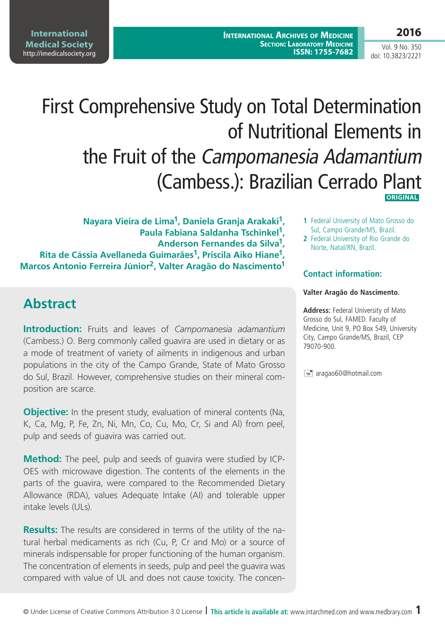# First Comprehensive Study on Total Determination of Nutritional Elements in the Fruit of the Campomanesia Adamantium (Cambess.): Brazilian Cerrado Plant  **ORIGINAL**

**Nayara Vieira de Lima1, Daniela Granja Arakaki1, Paula Fabiana Saldanha Tschinkel1, Anderson Fernandes da Silva1, Rita de Cássia Avellaneda Guimarães1, Priscila Aiko Hiane1, Marcos Antonio Ferreira Júnior2, Valter Aragão do Nascimento1**

# **Abstract**

**Introduction:** Fruits and leaves of *Campomanesia adamantium* (Cambess.) O. Berg commonly called guavira are used in dietary or as a mode of treatment of variety of ailments in indigenous and urban populations in the city of the Campo Grande, State of Mato Grosso do Sul, Brazil. However, comprehensive studies on their mineral composition are scarce.

**Objective:** In the present study, evaluation of mineral contents (Na, K, Ca, Mg, P, Fe, Zn, Ni, Mn, Co, Cu, Mo, Cr, Si and Al) from peel, pulp and seeds of guavira was carried out.

**Method:** The peel, pulp and seeds of guavira were studied by ICP-OES with microwave digestion. The contents of the elements in the parts of the guavira, were compared to the Recommended Dietary Allowance (RDA), values Adequate Intake (AI) and tolerable upper intake levels (ULs).

**Results:** The results are considered in terms of the utility of the natural herbal medicaments as rich (Cu, P, Cr and Mo) or a source of minerals indispensable for proper functioning of the human organism. The concentration of elements in seeds, pulp and peel the guavira was compared with value of UL and does not cause toxicity. The concen-

- **1** Federal University of Mato Grosso do Sul, Campo Grande/MS, Brazil.
- **2** Federal University of Rio Grande do Norte, Natal/RN, Brazil.

## **Contact information:**

#### **Valter Aragão do Nascimento.**

**Address:** Federal University of Mato Grosso do Sul, FAMED. Faculty of Medicine, Unit 9, PO Box 549, University City, Campo Grande/MS, Brazil, CEP 79070-900.

 $\equiv$  aragao60@hotmail.com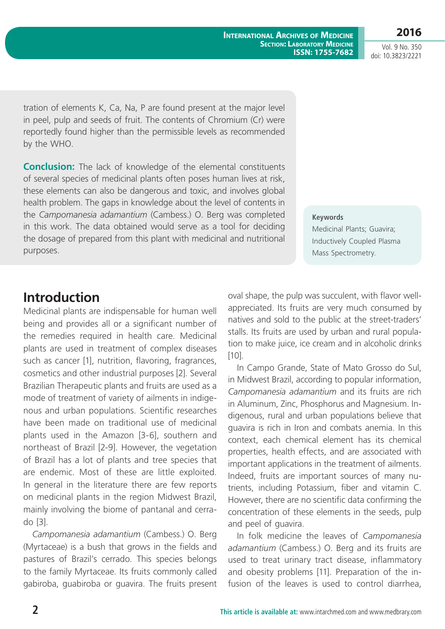**International Archives of Medicine SECTION: LABORATORY MEDICINE ISSN: 1755-7682** **2016**

Vol. 9 No. 350 doi: 10.3823/2221

tration of elements K, Ca, Na, P are found present at the major level in peel, pulp and seeds of fruit. The contents of Chromium (Cr) were reportedly found higher than the permissible levels as recommended by the WHO.

**Conclusion:** The lack of knowledge of the elemental constituents of several species of medicinal plants often poses human lives at risk, these elements can also be dangerous and toxic, and involves global health problem. The gaps in knowledge about the level of contents in the *Campomanesia adamantium* (Cambess.) O. Berg was completed in this work. The data obtained would serve as a tool for deciding the dosage of prepared from this plant with medicinal and nutritional purposes.

#### **Keywords**

Medicinal Plants; Guavira; Inductively Coupled Plasma Mass Spectrometry.

## **Introduction**

Medicinal plants are indispensable for human well being and provides all or a significant number of the remedies required in health care. Medicinal plants are used in treatment of complex diseases such as cancer [1], nutrition, flavoring, fragrances, cosmetics and other industrial purposes [2]. Several Brazilian Therapeutic plants and fruits are used as a mode of treatment of variety of ailments in indigenous and urban populations. Scientific researches have been made on traditional use of medicinal plants used in the Amazon [3-6], southern and northeast of Brazil [2-9]. However, the vegetation of Brazil has a lot of plants and tree species that are endemic. Most of these are little exploited. In general in the literature there are few reports on medicinal plants in the region Midwest Brazil, mainly involving the biome of pantanal and cerrado [3].

*Campomanesia adamantium* (Cambess.) O. Berg (Myrtaceae) is a bush that grows in the fields and pastures of Brazil's cerrado. This species belongs to the family Myrtaceae. Its fruits commonly called gabiroba, guabiroba or guavira. The fruits present oval shape, the pulp was succulent, with flavor wellappreciated. Its fruits are very much consumed by natives and sold to the public at the street-traders' stalls. Its fruits are used by urban and rural population to make juice, ice cream and in alcoholic drinks [10].

In Campo Grande, State of Mato Grosso do Sul, in Midwest Brazil, according to popular information, *Campomanesia adamantium* and its fruits are rich in Aluminum, Zinc, Phosphorus and Magnesium. Indigenous, rural and urban populations believe that guavira is rich in Iron and combats anemia. In this context, each chemical element has its chemical properties, health effects, and are associated with important applications in the treatment of ailments. Indeed, fruits are important sources of many nutrients, including Potassium, fiber and vitamin C. However, there are no scientific data confirming the concentration of these elements in the seeds, pulp and peel of guavira.

In folk medicine the leaves of *Campomanesia adamantium* (Cambess.) O. Berg and its fruits are used to treat urinary tract disease, inflammatory and obesity problems [11]. Preparation of the infusion of the leaves is used to control diarrhea,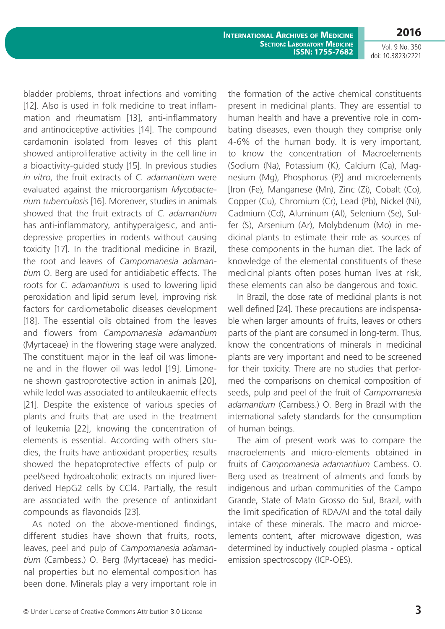Vol. 9 No. 350 doi: 10.3823/2221

bladder problems, throat infections and vomiting [12]. Also is used in folk medicine to treat inflammation and rheumatism [13], anti-inflammatory and antinociceptive activities [14]. The compound cardamonin isolated from leaves of this plant showed antiproliferative activity in the cell line in a bioactivity-guided study [15]. In previous studies *in vitro*, the fruit extracts of *C. adamantium* were evaluated against the microorganism *Mycobacterium tuberculosis* [16]. Moreover, studies in animals showed that the fruit extracts of *C. adamantium* has anti-inflammatory, antihyperalgesic, and antidepressive properties in rodents without causing toxicity [17]. In the traditional medicine in Brazil, the root and leaves of *Campomanesia adamantium* O. Berg are used for antidiabetic effects. The roots for *C. adamantium* is used to lowering lipid peroxidation and lipid serum level, improving risk factors for cardiometabolic diseases development [18]. The essential oils obtained from the leaves and flowers from *Campomanesia adamantium* (Myrtaceae) in the flowering stage were analyzed. The constituent major in the leaf oil was limonene and in the flower oil was ledol [19]. Limonene shown gastroprotective action in animals [20], while ledol was associated to antileukaemic effects [21]. Despite the existence of various species of plants and fruits that are used in the treatment of leukemia [22], knowing the concentration of elements is essential. According with others studies, the fruits have antioxidant properties; results showed the hepatoprotective effects of pulp or peel/seed hydroalcoholic extracts on injured liverderived HepG2 cells by CCl4. Partially, the result are associated with the presence of antioxidant compounds as flavonoids [23].

As noted on the above-mentioned findings, different studies have shown that fruits, roots, leaves, peel and pulp of *Campomanesia adamantium* (Cambess.) O. Berg (Myrtaceae) has medicinal properties but no elemental composition has been done. Minerals play a very important role in

the formation of the active chemical constituents present in medicinal plants. They are essential to human health and have a preventive role in combating diseases, even though they comprise only 4-6% of the human body. It is very important, to know the concentration of Macroelements (Sodium (Na), Potassium (K), Calcium (Ca), Magnesium (Mg), Phosphorus (P)] and microelements [Iron (Fe), Manganese (Mn), Zinc (Zi), Cobalt (Co), Copper (Cu), Chromium (Cr), Lead (Pb), Nickel (Ni), Cadmium (Cd), Aluminum (Al), Selenium (Se), Sulfer (S), Arsenium (Ar), Molybdenum (Mo) in medicinal plants to estimate their role as sources of these components in the human diet. The lack of knowledge of the elemental constituents of these medicinal plants often poses human lives at risk, these elements can also be dangerous and toxic.

In Brazil, the dose rate of medicinal plants is not well defined [24]. These precautions are indispensable when larger amounts of fruits, leaves or others parts of the plant are consumed in long-term. Thus, know the concentrations of minerals in medicinal plants are very important and need to be screened for their toxicity. There are no studies that performed the comparisons on chemical composition of seeds, pulp and peel of the fruit of *Campomanesia adamantium* (Cambess.) O. Berg in Brazil with the international safety standards for the consumption of human beings.

The aim of present work was to compare the macroelements and micro-elements obtained in fruits of *Campomanesia adamantium* Cambess. O. Berg used as treatment of ailments and foods by indigenous and urban communities of the Campo Grande, State of Mato Grosso do Sul, Brazil, with the limit specification of RDA/AI and the total daily intake of these minerals. The macro and microelements content, after microwave digestion, was determined by inductively coupled plasma - optical emission spectroscopy (ICP-OES).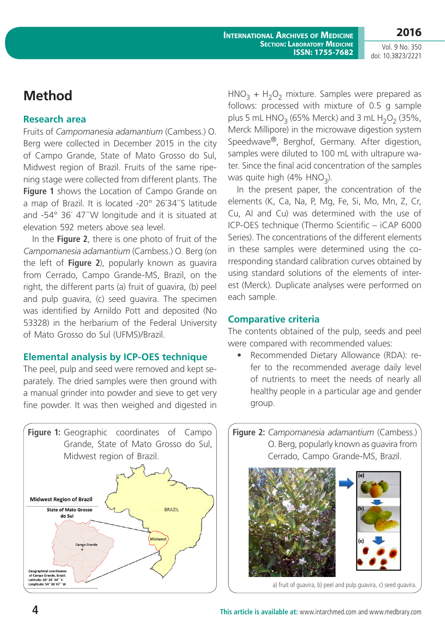Vol. 9 No. 350 doi: 10.3823/2221

# **Method**

#### **Research area**

Fruits of *Campomanesia adamantium* (Cambess.) O. Berg were collected in December 2015 in the city of Campo Grande, State of Mato Grosso do Sul, Midwest region of Brazil. Fruits of the same ripening stage were collected from different plants. The **Figure 1** shows the Location of Campo Grande on a map of Brazil. It is located -20° 26´34´´S latitude and -54° 36´ 47´´W longitude and it is situated at elevation 592 meters above sea level.

In the **Figure 2**, there is one photo of fruit of the *Campomanesia adamantium* (Cambess.) O. Berg (on the left of **Figure 2**), popularly known as guavira from Cerrado, Campo Grande-MS, Brazil, on the right, the different parts (a) fruit of guavira, (b) peel and pulp guavira, (c) seed guavira. The specimen was identified by Arnildo Pott and deposited (No 53328) in the herbarium of the Federal University of Mato Grosso do Sul (UFMS)/Brazil.

## **Elemental analysis by ICP-OES technique**

The peel, pulp and seed were removed and kept separately. The dried samples were then ground with a manual grinder into powder and sieve to get very fine powder. It was then weighed and digested in



 $HNO<sub>3</sub> + H<sub>2</sub>O<sub>2</sub>$  mixture. Samples were prepared as follows: processed with mixture of 0.5 g sample plus 5 mL HNO<sub>3</sub> (65% Merck) and 3 mL H<sub>2</sub>O<sub>2</sub> (35%, Merck Millipore) in the microwave digestion system Speedwave®, Berghof, Germany. After digestion, samples were diluted to 100 mL with ultrapure water. Since the final acid concentration of the samples was quite high  $(4\% \text{ HNO}_2)$ .

In the present paper, the concentration of the elements (K, Ca, Na, P, Mg, Fe, Si, Mo, Mn, Z, Cr, Cu, Al and Cu) was determined with the use of ICP-OES technique (Thermo Scientific – iCAP 6000 Series). The concentrations of the different elements in these samples were determined using the corresponding standard calibration curves obtained by using standard solutions of the elements of interest (Merck). Duplicate analyses were performed on each sample.

## **Comparative criteria**

The contents obtained of the pulp, seeds and peel were compared with recommended values:

• Recommended Dietary Allowance (RDA): refer to the recommended average daily level of nutrients to meet the needs of nearly all healthy people in a particular age and gender group.

**Figure 2:** *Campomanesia adamantium* (Cambess.) O. Berg, popularly known as guavira from Cerrado, Campo Grande-MS, Brazil.



a) fruit of guavira, b) peel and pulp guavira, c) seed guavira.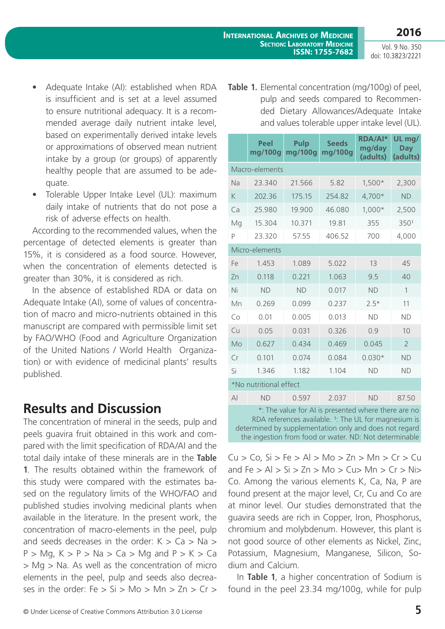- Adequate Intake (AI): established when RDA is insufficient and is set at a level assumed to ensure nutritional adequacy. It is a recommended average daily nutrient intake level, based on experimentally derived intake levels or approximations of observed mean nutrient intake by a group (or groups) of apparently healthy people that are assumed to be adequate.
- Tolerable Upper Intake Level (UL): maximum daily intake of nutrients that do not pose a risk of adverse effects on health.

According to the recommended values, when the percentage of detected elements is greater than 15%, it is considered as a food source. However, when the concentration of elements detected is greater than 30%, it is considered as rich.

In the absence of established RDA or data on Adequate Intake (AI), some of values of concentration of macro and micro-nutrients obtained in this manuscript are compared with permissible limit set by FAO/WHO (Food and Agriculture Organization of the United Nations / World Health Organization) or with evidence of medicinal plants' results published.

## **Results and Discussion**

The concentration of mineral in the seeds, pulp and peels guavira fruit obtained in this work and compared with the limit specification of RDA/AI and the total daily intake of these minerals are in the **Table 1**. The results obtained within the framework of this study were compared with the estimates based on the regulatory limits of the WHO/FAO and published studies involving medicinal plants when available in the literature. In the present work, the concentration of macro-elements in the peel, pulp and seeds decreases in the order:  $K > Ca > Na >$  $P > Mq$ ,  $K > P > Na > Ca > Mg$  and  $P > K > Ca$ > Mg > Na. As well as the concentration of micro elements in the peel, pulp and seeds also decreases in the order:  $Fe > Si > Mo > Mn > Zn > Cr >$ 

**Table 1.** Elemental concentration (mg/100g) of peel, pulp and seeds compared to Recommended Dietary Allowances/Adequate Intake and values tolerable upper intake level (UL).

|                                                    | Peel<br>mg/100g | <b>Pulp</b><br>mg/100g | <b>Seeds</b><br>mg/100g | <b>RDA/AI*</b><br>mg/day<br>(adults) | UL mg/<br><b>Day</b><br>(adults) |
|----------------------------------------------------|-----------------|------------------------|-------------------------|--------------------------------------|----------------------------------|
| Macro-elements                                     |                 |                        |                         |                                      |                                  |
| Na                                                 | 23.340          | 21.566                 | 5.82                    | $1,500*$                             | 2,300                            |
| K                                                  | 202.36          | 175.15                 | 254.82                  | 4,700*                               | <b>ND</b>                        |
| Ca                                                 | 25.980          | 19.900                 | 46.080                  | 1,000*                               | 2,500                            |
| Mg                                                 | 15.304          | 10.371                 | 19.81                   | 355                                  | 3501                             |
| P                                                  | 23.320          | 57.55                  | 406.52                  | 700                                  | 4,000                            |
| Micro-elements                                     |                 |                        |                         |                                      |                                  |
| Fe                                                 | 1.453           | 1.089                  | 5.022                   | 13                                   | 45                               |
| Zn                                                 | 0.118           | 0.221                  | 1.063                   | 9.5                                  | 40                               |
| Ni                                                 | <b>ND</b>       | <b>ND</b>              | 0.017                   | <b>ND</b>                            | $\mathbf{1}$                     |
| Mn                                                 | 0.269           | 0.099                  | 0.237                   | $2.5*$                               | 11                               |
| Co                                                 | 0.01            | 0.005                  | 0.013                   | <b>ND</b>                            | <b>ND</b>                        |
| Cu                                                 | 0.05            | 0.031                  | 0.326                   | 0.9                                  | 10                               |
| Mo                                                 | 0.627           | 0.434                  | 0.469                   | 0.045                                | $\overline{2}$                   |
| Cr                                                 | 0.101           | 0.074                  | 0.084                   | $0.030*$                             | <b>ND</b>                        |
| Si                                                 | 1.346           | 1.182                  | 1.104                   | <b>ND</b>                            | <b>ND</b>                        |
| *No nutritional effect                             |                 |                        |                         |                                      |                                  |
| $\mathsf{A}$                                       | <b>ND</b>       | 0.597                  | 2.037                   | <b>ND</b>                            | 87.50                            |
| * The value for AL is presented where there are no |                 |                        |                         |                                      |                                  |

\*: The value for AI is presented where there are no RDA references available. <sup>1</sup>: The UL for magnesium is determined by supplementation only and does not regard the ingestion from food or water. ND: Not determinable

 $Cu > Co$ ,  $Si > Fe > Al > Mo > Zn > Mn > Cr > Cu$ and  $Fe > Al > Si > Zn > Mo > Cu > Mn > Cr > Ni >$ Co. Among the various elements K, Ca, Na, P are found present at the major level, Cr, Cu and Co are at minor level. Our studies demonstrated that the guavira seeds are rich in Copper, Iron, Phosphorus, chromium and molybdenum. However, this plant is not good source of other elements as Nickel, Zinc, Potassium, Magnesium, Manganese, Silicon, Sodium and Calcium.

In **Table 1**, a higher concentration of Sodium is found in the peel 23.34 mg/100g, while for pulp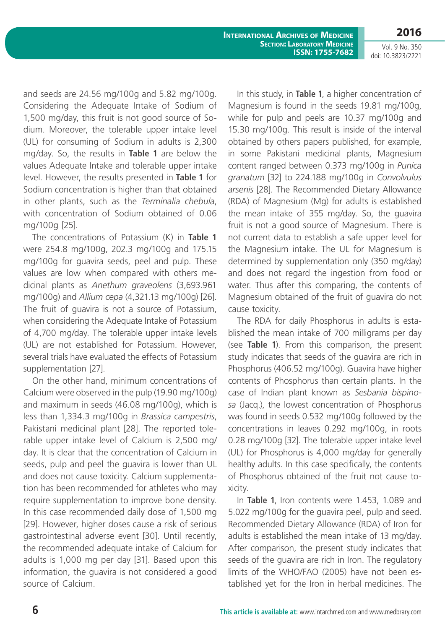**International Archives of Medicine SECTION: LABORATORY MEDICINE ISSN: 1755-7682** **2016**

Vol. 9 No. 350 doi: 10.3823/2221

and seeds are 24.56 mg/100g and 5.82 mg/100g. Considering the Adequate Intake of Sodium of 1,500 mg/day, this fruit is not good source of Sodium. Moreover, the tolerable upper intake level (UL) for consuming of Sodium in adults is 2,300 mg/day. So, the results in **Table 1** are below the values Adequate Intake and tolerable upper intake level. However, the results presented in **Table 1** for Sodium concentration is higher than that obtained in other plants, such as the *Terminalia chebula*, with concentration of Sodium obtained of 0.06 mg/100g [25].

The concentrations of Potassium (K) in **Table 1** were 254.8 mg/100g, 202.3 mg/100g and 175.15 mg/100g for guavira seeds, peel and pulp. These values are low when compared with others medicinal plants as *Anethum graveolens* (3,693.961 mg/100g) and *Allium cepa* (4,321.13 mg/100g) [26]. The fruit of guavira is not a source of Potassium, when considering the Adequate Intake of Potassium of 4,700 mg/day. The tolerable upper intake levels (UL) are not established for Potassium. However, several trials have evaluated the effects of Potassium supplementation [27].

On the other hand, minimum concentrations of Calcium were observed in the pulp (19.90 mg/100g) and maximum in seeds (46.08 mg/100g), which is less than 1,334.3 mg/100g in *Brassica campestris*, Pakistani medicinal plant [28]. The reported tolerable upper intake level of Calcium is 2,500 mg/ day. It is clear that the concentration of Calcium in seeds, pulp and peel the guavira is lower than UL and does not cause toxicity. Calcium supplementation has been recommended for athletes who may require supplementation to improve bone density. In this case recommended daily dose of 1,500 mg [29]. However, higher doses cause a risk of serious gastrointestinal adverse event [30]. Until recently, the recommended adequate intake of Calcium for adults is 1,000 mg per day [31]. Based upon this information, the guavira is not considered a good source of Calcium.

In this study, in **Table 1**, a higher concentration of Magnesium is found in the seeds 19.81 mg/100g, while for pulp and peels are 10.37 mg/100g and 15.30 mg/100g. This result is inside of the interval obtained by others papers published, for example, in some Pakistani medicinal plants, Magnesium content ranged between 0.373 mg/100g in *Punica granatum* [32] to 224.188 mg/100g in *Convolvulus arsenis* [28]. The Recommended Dietary Allowance (RDA) of Magnesium (Mg) for adults is established the mean intake of 355 mg/day. So, the guavira fruit is not a good source of Magnesium. There is not current data to establish a safe upper level for the Magnesium intake. The UL for Magnesium is determined by supplementation only (350 mg/day) and does not regard the ingestion from food or water. Thus after this comparing, the contents of Magnesium obtained of the fruit of guavira do not cause toxicity.

The RDA for daily Phosphorus in adults is established the mean intake of 700 milligrams per day (see **Table 1**). From this comparison, the present study indicates that seeds of the guavira are rich in Phosphorus (406.52 mg/100g). Guavira have higher contents of Phosphorus than certain plants. In the case of Indian plant known as *Sesbania bispinosa* (Jacq.), the lowest concentration of Phosphorus was found in seeds 0.532 mg/100g followed by the concentrations in leaves 0.292 mg/100g, in roots 0.28 mg/100g [32]. The tolerable upper intake level (UL) for Phosphorus is 4,000 mg/day for generally healthy adults. In this case specifically, the contents of Phosphorus obtained of the fruit not cause toxicity.

In **Table 1**, Iron contents were 1.453, 1.089 and 5.022 mg/100g for the guavira peel, pulp and seed. Recommended Dietary Allowance (RDA) of Iron for adults is established the mean intake of 13 mg/day. After comparison, the present study indicates that seeds of the guavira are rich in Iron. The regulatory limits of the WHO/FAO (2005) have not been established yet for the Iron in herbal medicines. The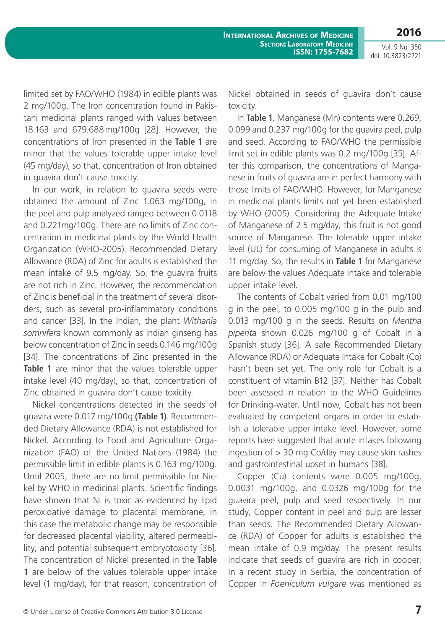Vol. 9 No. 350 doi: 10.3823/2221

limited set by FAO/WHO (1984) in edible plants was 2 mg/100g. The Iron concentration found in Pakistani medicinal plants ranged with values between 18.163 and 679.688mg/100g [28]. However, the concentrations of Iron presented in the **Table 1** are minor that the values tolerable upper intake level (45 mg/day), so that, concentration of Iron obtained in guavira don't cause toxicity.

In our work, in relation to guavira seeds were obtained the amount of Zinc 1.063 mg/100g, in the peel and pulp analyzed ranged between 0.0118 and 0.221mg/100g. There are no limits of Zinc concentration in medicinal plants by the World Health Organization (WHO-2005). Recommended Dietary Allowance (RDA) of Zinc for adults is established the mean intake of 9.5 mg/day. So, the guavira fruits are not rich in Zinc. However, the recommendation of Zinc is beneficial in the treatment of several disorders, such as several pro-inflammatory conditions and cancer [33]. In the Indian, the plant *Withania somnifera* known commonly as Indian ginseng has below concentration of Zinc in seeds 0.146 mg/100g [34]. The concentrations of Zinc presented in the **Table 1** are minor that the values tolerable upper intake level (40 mg/day), so that, concentration of Zinc obtained in guavira don't cause toxicity.

Nickel concentrations detected in the seeds of guavira were 0.017 mg/100g **(Table 1)**. Recommended Dietary Allowance (RDA) is not established for Nickel. According to Food and Agriculture Organization (FAO) of the United Nations (1984) the permissible limit in edible plants is 0.163 mg/100g. Until 2005, there are no limit permissible for Nickel by WHO in medicinal plants. Scientific findings have shown that Ni is toxic as evidenced by lipid peroxidative damage to placental membrane, in this case the metabolic change may be responsible for decreased placental viability, altered permeability, and potential subsequent embryotoxicity [36]. The concentration of Nickel presented in the **Table 1** are below of the values tolerable upper intake level (1 mg/day), for that reason, concentration of Nickel obtained in seeds of guavira don't cause toxicity.

In **Table 1**, Manganese (Mn) contents were 0.269, 0.099 and 0.237 mg/100g for the guavira peel, pulp and seed. According to FAO/WHO the permissible limit set in edible plants was 0.2 mg/100g [35]. After this comparison, the concentrations of Manganese in fruits of guavira are in perfect harmony with those limits of FAO/WHO. However, for Manganese in medicinal plants limits not yet been established by WHO (2005). Considering the Adequate Intake of Manganese of 2.5 mg/day, this fruit is not good source of Manganese. The tolerable upper intake level (UL) for consuming of Manganese in adults is 11 mg/day. So, the results in **Table 1** for Manganese are below the values Adequate Intake and tolerable upper intake level.

The contents of Cobalt varied from 0.01 mg/100 g in the peel, to 0.005 mg/100 g in the pulp and 0.013 mg/100 g in the seeds. Results on *Mentha piperita* shown 0.026 mg/100 g of Cobalt in a Spanish study [36]. A safe Recommended Dietary Allowance (RDA) or Adequate Intake for Cobalt (Co) hasn't been set yet. The only role for Cobalt is a constituent of vitamin B12 [37]. Neither has Cobalt been assessed in relation to the WHO Guidelines for Drinking-water. Until now, Cobalt has not been evaluated by competent organs in order to establish a tolerable upper intake level. However, some reports have suggested that acute intakes following ingestion of  $> 30$  mg Co/day may cause skin rashes and gastrointestinal upset in humans [38].

Copper (Cu) contents were 0.005 mg/100g, 0.0031 mg/100g, and 0.0326 mg/100g for the guavira peel, pulp and seed respectively. In our study, Copper content in peel and pulp are lesser than seeds. The Recommended Dietary Allowance (RDA) of Copper for adults is established the mean intake of 0.9 mg/day. The present results indicate that seeds of guavira are rich in cooper. In a recent study in Serbia, the concentration of Copper in *Foeniculum vulgare* was mentioned as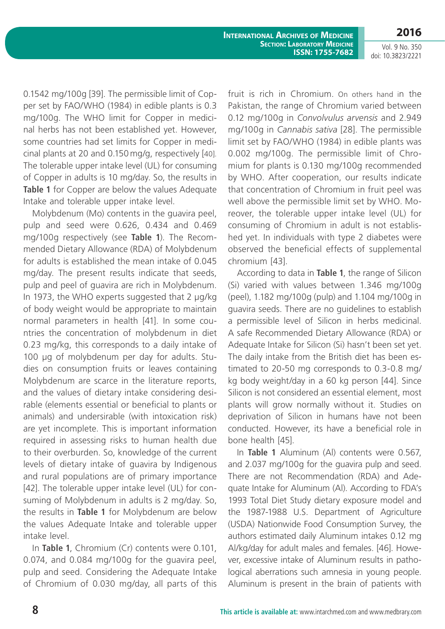Vol. 9 No. 350 doi: 10.3823/2221

0.1542 mg/100g [39]. The permissible limit of Copper set by FAO/WHO (1984) in edible plants is 0.3 mg/100g. The WHO limit for Copper in medicinal herbs has not been established yet. However, some countries had set limits for Copper in medicinal plants at 20 and 0.150 mg/g, respectively [40]. The tolerable upper intake level (UL) for consuming of Copper in adults is 10 mg/day. So, the results in **Table 1** for Copper are below the values Adequate Intake and tolerable upper intake level.

Molybdenum (Mo) contents in the guavira peel, pulp and seed were 0.626, 0.434 and 0.469 mg/100g respectively (see **Table 1**). The Recommended Dietary Allowance (RDA) of Molybdenum for adults is established the mean intake of 0.045 mg/day. The present results indicate that seeds, pulp and peel of guavira are rich in Molybdenum. In 1973, the WHO experts suggested that 2 µg/kg of body weight would be appropriate to maintain normal parameters in health [41]. In some countries the concentration of molybdenum in diet 0.23 mg/kg, this corresponds to a daily intake of 100 μg of molybdenum per day for adults. Studies on consumption fruits or leaves containing Molybdenum are scarce in the literature reports, and the values of dietary intake considering desirable (elements essential or beneficial to plants or animals) and undersirable (with intoxication risk) are yet incomplete. This is important information required in assessing risks to human health due to their overburden. So, knowledge of the current levels of dietary intake of guavira by Indigenous and rural populations are of primary importance [42]. The tolerable upper intake level (UL) for consuming of Molybdenum in adults is 2 mg/day. So, the results in **Table 1** for Molybdenum are below the values Adequate Intake and tolerable upper intake level.

In **Table 1**, Chromium (Cr) contents were 0.101, 0.074, and 0.084 mg/100g for the guavira peel, pulp and seed. Considering the Adequate Intake of Chromium of 0.030 mg/day, all parts of this fruit is rich in Chromium. On others hand in the Pakistan, the range of Chromium varied between 0.12 mg/100g in *Convolvulus arvensis* and 2.949 mg/100g in *Cannabis sativa* [28]. The permissible limit set by FAO/WHO (1984) in edible plants was 0.002 mg/100g. The permissible limit of Chromium for plants is 0.130 mg/100g recommended by WHO. After cooperation, our results indicate that concentration of Chromium in fruit peel was well above the permissible limit set by WHO. Moreover, the tolerable upper intake level (UL) for consuming of Chromium in adult is not established yet. In individuals with type 2 diabetes were observed the beneficial effects of supplemental chromium [43].

According to data in **Table 1**, the range of Silicon (Si) varied with values between 1.346 mg/100g (peel), 1.182 mg/100g (pulp) and 1.104 mg/100g in guavira seeds. There are no guidelines to establish a permissible level of Silicon in herbs medicinal. A safe Recommended Dietary Allowance (RDA) or Adequate Intake for Silicon (Si) hasn't been set yet. The daily intake from the British diet has been estimated to 20-50 mg corresponds to 0.3-0.8 mg/ kg body weight/day in a 60 kg person [44]. Since Silicon is not considered an essential element, most plants will grow normally without it. Studies on deprivation of Silicon in humans have not been conducted. However, its have a beneficial role in bone health [45].

In **Table 1** Aluminum (Al) contents were 0.567, and 2.037 mg/100g for the guavira pulp and seed. There are not Recommendation (RDA) and Adequate Intake for Aluminum (Al). According to FDA's 1993 Total Diet Study dietary exposure model and the 1987-1988 U.S. Department of Agriculture (USDA) Nationwide Food Consumption Survey, the authors estimated daily Aluminum intakes 0.12 mg Al/kg/day for adult males and females. [46]. However, excessive intake of Aluminum results in pathological aberrations such amnesia in young people. Aluminum is present in the brain of patients with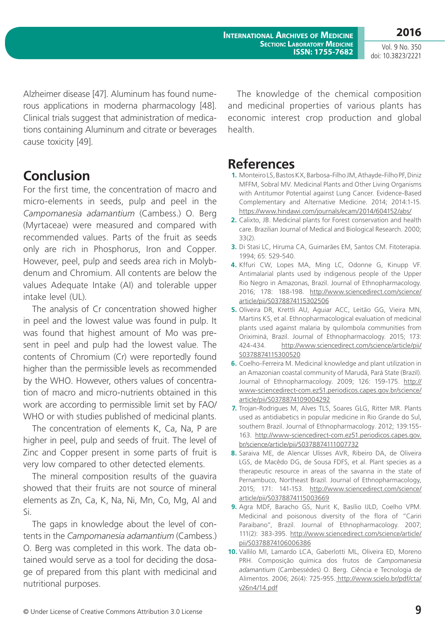**International Archives of Medicine SECTION: LABORATORY MEDICINE ISSN: 1755-7682**

Vol. 9 No. 350 doi: 10.3823/2221

**2016**

Alzheimer disease [47]. Aluminum has found numerous applications in moderna pharmacology [48]. Clinical trials suggest that administration of medications containing Aluminum and citrate or beverages cause toxicity [49].

## **Conclusion**

For the first time, the concentration of macro and micro-elements in seeds, pulp and peel in the *Campomanesia adamantium* (Cambess.) O. Berg (Myrtaceae) were measured and compared with recommended values. Parts of the fruit as seeds only are rich in Phosphorus, Iron and Copper. However, peel, pulp and seeds area rich in Molybdenum and Chromium. All contents are below the values Adequate Intake (AI) and tolerable upper intake level (UL).

The analysis of Cr concentration showed higher in peel and the lowest value was found in pulp. It was found that highest amount of Mo was present in peel and pulp had the lowest value. The contents of Chromium (Cr) were reportedly found higher than the permissible levels as recommended by the WHO. However, others values of concentration of macro and micro-nutrients obtained in this work are according to permissible limit set by FAO/ WHO or with studies published of medicinal plants.

The concentration of elements K, Ca, Na, P are higher in peel, pulp and seeds of fruit. The level of Zinc and Copper present in some parts of fruit is very low compared to other detected elements.

The mineral composition results of the guavira showed that their fruits are not source of mineral elements as Zn, Ca, K, Na, Ni, Mn, Co, Mg, Al and Si.

The gaps in knowledge about the level of contents in the *Campomanesia adamantium* (Cambess.) O. Berg was completed in this work. The data obtained would serve as a tool for deciding the dosage of prepared from this plant with medicinal and nutritional purposes.

The knowledge of the chemical composition and medicinal properties of various plants has economic interest crop production and global health.

## **References**

- **1.** Monteiro LS, Bastos KX, Barbosa-Filho JM, Athayde-Filho PF, Diniz MFFM, Sobral MV. Medicinal Plants and Other Living Organisms with Antitumor Potential against Lung Cancer. Evidence-Based Complementary and Alternative Medicine. 2014; 2014:1-15. <https://www.hindawi.com/journals/ecam/2014/604152/abs/>
- **2.** Calixto, JB. Medicinal plants for Forest conservation and health care. Brazilian Journal of Medical and Biological Research. 2000; 33(2).
- **3.** Di Stasi LC, Hiruma CA, Guimarães EM, Santos CM. Fitoterapia. 1994; 65: 529-540.
- **4.** Kffuri CW, Lopes MA, Ming LC, Odonne G, Kinupp VF. Antimalarial plants used by indigenous people of the Upper Rio Negro in Amazonas, Brazil. Journal of Ethnopharmacology. 2016; 178: 188-198. [http://www.sciencedirect.com/science/](http://www.sciencedirect.com/science/article/pii/S0378874115302506) [article/pii/S0378874115302506](http://www.sciencedirect.com/science/article/pii/S0378874115302506)
- **5.** Oliveira DR, Krettli AU, Aguiar ACC, Leitão GG, Vieira MN, Martins KS, et al. Ethnopharmacological evaluation of medicinal plants used against malaria by quilombola communities from Oriximiná, Brazil. Journal of Ethnopharmacology. 2015; 173: 424-434. [http://www.sciencedirect.com/science/article/pii/](http://www.sciencedirect.com/science/article/pii/S0378874115300520) [S0378874115300520](http://www.sciencedirect.com/science/article/pii/S0378874115300520)
- **6.** Coelho-Ferreira M. Medicinal knowledge and plant utilization in an Amazonian coastal community of Marudá, Pará State (Brazil). Journal of Ethnopharmacology. 2009; 126: 159-175. [http://](http://www-sciencedirect-com.ez51.periodicos.capes.gov.br/science/article/pii/S0378874109004292) [www-sciencedirect-com.ez51.periodicos.capes.gov.br/science/](http://www-sciencedirect-com.ez51.periodicos.capes.gov.br/science/article/pii/S0378874109004292) [article/pii/S0378874109004292](http://www-sciencedirect-com.ez51.periodicos.capes.gov.br/science/article/pii/S0378874109004292)
- **7.** Trojan-Rodrigues M, Alves TLS, Soares GLG, Ritter MR. Plants used as antidiabetics in popular medicine in Rio Grande do Sul, southern Brazil. Journal of Ethnopharmacology. 2012; 139:155- 163. [http://www-sciencedirect-com.ez51.periodicos.capes.gov.](http://www-sciencedirect-com.ez51.periodicos.capes.gov.br/science/article/pii/S0378874111007732) [br/science/article/pii/S0378874111007732](http://www-sciencedirect-com.ez51.periodicos.capes.gov.br/science/article/pii/S0378874111007732)
- **8.** Saraiva ME, de Alencar Ulisses AVR, Ribeiro DA, de Oliveira LGS, de Macêdo DG, de Sousa FDFS, et al. Plant species as a therapeutic resource in areas of the savanna in the state of Pernambuco, Northeast Brazil. Journal of Ethnopharmacology, 2015; 171: 141-153. [http://www.sciencedirect.com/science/](http://www.sciencedirect.com/science/article/pii/S0378874115003669) [article/pii/S0378874115003669](http://www.sciencedirect.com/science/article/pii/S0378874115003669)
- **9.** Agra MDF, Baracho GS, Nurit K, Basílio IJLD, Coelho VPM. Medicinal and poisonous diversity of the flora of "Cariri Paraibano", Brazil. Journal of Ethnopharmacology. 2007; 111(2): 383-395. [http://www.sciencedirect.com/science/article/](http://www.sciencedirect.com/science/article/pii/S0378874106006386) [pii/S0378874106006386](http://www.sciencedirect.com/science/article/pii/S0378874106006386)
- **10.** Vallilo MI, Lamardo LCA, Gaberlotti ML, Oliveira ED, Moreno PRH. Composição química dos frutos de *Campomanesia adamantium* (Cambessédes) O. Berg. Ciência e Tecnologia de Alimentos. 2006; 26(4): 725-955[. http://www.scielo.br/pdf/cta/]( http://www.scielo.br/pdf/cta/v26n4/14.pdf) [v26n4/14.pdf]( http://www.scielo.br/pdf/cta/v26n4/14.pdf)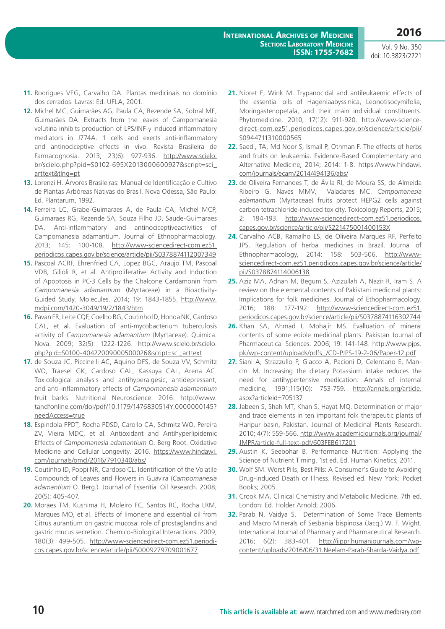- **11.** Rodrigues VEG, Carvalho DA. Plantas medicinais no domínio dos cerrados. Lavras: Ed. UFLA, 2001.
- **12.** Michel MC, Guimarães AG, Paula CA, Rezende SA, Sobral ME, Guimarães DA. Extracts from the leaves of Campomanesia velutina inhibits production of LPS/INF-γ induced inflammatory mediators in J774A. 1 cells and exerts anti-inflammatory and antinociceptive effects in vivo. Revista Brasileira de Farmacognosia. 2013; 23(6): 927-936. [http://www.scielo.](http://www.scielo.br/scielo.php?pid=S0102-695X2013000600927&script=sci_arttext&tlng=pt) [br/scielo.php?pid=S0102-695X2013000600927&script=sci\\_](http://www.scielo.br/scielo.php?pid=S0102-695X2013000600927&script=sci_arttext&tlng=pt) [arttext&tlng=pt](http://www.scielo.br/scielo.php?pid=S0102-695X2013000600927&script=sci_arttext&tlng=pt)
- **13.** Lorenzi H. Árvores Brasileiras: Manual de Identificação e Cultivo de Plantas Arbóreas Nativas do Brasil. Nova Odessa, São Paulo: Ed. Plantarum, 1992.
- **14.** Ferreira LC, Grabe-Guimaraes A, de Paula CA, Michel MCP, Guimaraes RG, Rezende SA, Souza Filho JD, Saude-Guimaraes DA. Anti-inflammatory and antinociceptiveactivities of Campomanesia adamantium. Journal of Ethnopharmacology. 2013; 145: 100-108. [http://www-sciencedirect-com.ez51.](http://www-sciencedirect-com.ez51.periodicos.capes.gov.br/science/article/pii/S0378874112007349) [periodicos.capes.gov.br/science/article/pii/S0378874112007349](http://www-sciencedirect-com.ez51.periodicos.capes.gov.br/science/article/pii/S0378874112007349)
- **15.** Pascoal ACRF, Ehrenfried CA, Lopez BGC, Araujo TM, Pascoal VDB, Gilioli R, et al. Antiproliferative Activity and Induction of Apoptosis in PC-3 Cells by the Chalcone Cardamonin from *Campomanesia adamantium* (Myrtaceae) in a Bioactivity-Guided Study. Molecules. 2014; 19: 1843-1855. [http://www.](http://www.mdpi.com/1420-3049/19/2/1843/htm) [mdpi.com/1420-3049/19/2/1843/htm](http://www.mdpi.com/1420-3049/19/2/1843/htm)
- **16.** Pavan FR, Leite CQF, Coelho RG, Coutinho ID, Honda NK, Cardoso CAL, et al. Evaluation of anti-mycobacterium tuberculosis activity of *Campomanesia adamantium* (Myrtaceae). Quimica. Nova. 2009; 32(5): 1222-1226. [http://www.scielo.br/scielo.](http://www.scielo.br/scielo.php?pid=S0100-40422009000500026&script=sci_arttext) [php?pid=S0100-40422009000500026&script=sci\\_arttext](http://www.scielo.br/scielo.php?pid=S0100-40422009000500026&script=sci_arttext)
- **17.** de Souza JC, Piccinelli AC, Aquino DFS, de Souza VV, Schmitz WO, Traesel GK, Cardoso CAL, Kassuya CAL, Arena AC. Toxicological analysis and antihyperalgesic, antidepressant, and anti-inflammatory effects of *Campomanesia adamantium* fruit barks. Nutritional Neuroscience. 2016. [http://www.](http://www.tandfonline.com/doi/pdf/10.1179/1476830514Y.0000000145?needAccess=true) [tandfonline.com/doi/pdf/10.1179/1476830514Y.0000000145?](http://www.tandfonline.com/doi/pdf/10.1179/1476830514Y.0000000145?needAccess=true) [needAccess=true](http://www.tandfonline.com/doi/pdf/10.1179/1476830514Y.0000000145?needAccess=true)
- **18.** Espindola PPDT, Rocha PDSD, Carollo CA, Schmitz WO, Pereira ZV, Vieira MDC, et al. Antioxidant and Antihyperlipidemic Effects of *Campomanesia adamantium* O. Berg Root. Oxidative Medicine and Cellular Longevity. 2016. [https://www.hindawi.](https://www.hindawi.com/journals/omcl/2016/7910340/abs/) [com/journals/omcl/2016/7910340/abs/](https://www.hindawi.com/journals/omcl/2016/7910340/abs/)
- **19.** Coutinho ID, Poppi NR, Cardoso CL. Identification of the Volatile Compounds of Leaves and Flowers in Guavira (*Campomanesia adamantium* O. Berg.). Journal of Essential Oil Research. 2008; 20(5): 405-407.
- **20.** Moraes TM, Kushima H, Moleiro FC, Santos RC, Rocha LRM, Marques MO, et al. Effects of limonene and essential oil from Citrus aurantium on gastric mucosa: role of prostaglandins and gastric mucus secretion. Chemico-Biological Interactions. 2009; 180(3): 499-505. [http://www-sciencedirect-com.ez51.periodi](http://www-sciencedirect-com.ez51.periodicos.capes.gov.br/science/article/pii/S0009279709001677)[cos.capes.gov.br/science/article/pii/S0009279709001677](http://www-sciencedirect-com.ez51.periodicos.capes.gov.br/science/article/pii/S0009279709001677)
- **21.** Nibret E, Wink M. Trypanocidal and antileukaemic effects of the essential oils of Hageniaabyssinica, Leonotisocymifolia, Moringastenopetala, and their main individual constituents. Phytomedicine. 2010; 17(12): 911-920. [http://www-science](http://www-sciencedirect-com.ez51.periodicos.capes.gov.br/science/article/pii/S0944711310000565)[direct-com.ez51.periodicos.capes.gov.br/science/article/pii/](http://www-sciencedirect-com.ez51.periodicos.capes.gov.br/science/article/pii/S0944711310000565) [S0944711310000565](http://www-sciencedirect-com.ez51.periodicos.capes.gov.br/science/article/pii/S0944711310000565)
- **22.** Saedi, TA, Md Noor S, Ismail P, Othman F. The effects of herbs and fruits on leukaemia. Evidence-Based Complementary and Alternative Medicine, 2014; 2014: 1-8. [https://www.hindawi.](https://www.hindawi.com/journals/ecam/2014/494136/abs/) [com/journals/ecam/2014/494136/abs/](https://www.hindawi.com/journals/ecam/2014/494136/abs/)
- **23.** de Oliveira Fernandes T, de Ávila RI, de Moura SS, de Almeida Ribeiro G, Naves MMV, Valadares MC. *Campomanesia adamantium* (Myrtaceae) fruits protect HEPG2 cells against carbon tetrachloride-induced toxicity. Toxicology Reports, 2015; 2: 184-193. [http://www-sciencedirect-com.ez51.periodicos.](http://www-sciencedirect-com.ez51.periodicos.capes.gov.br/science/article/pii/S221475001400153X) [capes.gov.br/science/article/pii/S221475001400153X](http://www-sciencedirect-com.ez51.periodicos.capes.gov.br/science/article/pii/S221475001400153X)
- **24.** Carvalho ACB, Ramalho LS, de Oliveira Marques RF, Perfeito JPS. Regulation of herbal medicines in Brazil. Journal of Ethnopharmacology, 2014; 158: 503-506. [http://www](http://www-sciencedirect-com.ez51.periodicos.capes.gov.br/science/article/pii/S0378874114006138)[sciencedirect-com.ez51.periodicos.capes.gov.br/science/article/](http://www-sciencedirect-com.ez51.periodicos.capes.gov.br/science/article/pii/S0378874114006138) [pii/S0378874114006138](http://www-sciencedirect-com.ez51.periodicos.capes.gov.br/science/article/pii/S0378874114006138)
- **25.** Aziz MA, Adnan M, Begum S, Azizullah A, Nazir R, Iram S. A review on the elemental contents of Pakistani medicinal plants: Implications for folk medicines. Journal of Ethopharmacology. 2016; 188: 177-192. [http://www-sciencedirect-com.ez51.](http://www-sciencedirect-com.ez51.periodicos.capes.gov.br/science/article/pii/S0378874116302744) [periodicos.capes.gov.br/science/article/pii/S0378874116302744](http://www-sciencedirect-com.ez51.periodicos.capes.gov.br/science/article/pii/S0378874116302744)
- **26.** Khan SA, Ahmad I, Mohajir MS. Evalluation of mineral contents of some edible medicinal plants. Pakistan Journal of Pharmaceutical Sciences. 2006; 19: 141-148. [http://www.pjps.](http://www.pjps.pk/wp-content/uploads/pdfs_/CD-PJPS-19-2-06/Paper-12.pdf) [pk/wp-content/uploads/pdfs\\_/CD-PJPS-19-2-06/Paper-12.pdf](http://www.pjps.pk/wp-content/uploads/pdfs_/CD-PJPS-19-2-06/Paper-12.pdf)
- **27.** Siani A, Strazzullo P, Giacco A, Pacioni D, Celentano E, Mancini M. Increasing the dietary Potassium intake reduces the need for antihypertensive medication. Annals of internal medicine, 1991;115(10): 753-759. [http://annals.org/article.](http://annals.org/article.aspx?articleid=705137) [aspx?articleid=705137](http://annals.org/article.aspx?articleid=705137)
- **28.** Jabeen S, Shah MT, Khan S, Hayat MQ. Determination of major and trace elements in ten important folk therapeutic plants of Haripur basin, Pakistan. Journal of Medicinal Plants Research. 2010; 4(7): 559-566. [http://www.academicjournals.org/journal/](http://www.academicjournals.org/journal/JMPR/article-full-text-pdf/603FEB617201) [JMPR/article-full-text-pdf/603FEB617201](http://www.academicjournals.org/journal/JMPR/article-full-text-pdf/603FEB617201)
- **29.** Austin K, Seebohar B. Performance Nutrition: Applying the Science of Nutrient Timing. 1st ed. Ed. Human Kinetics; 2011.
- **30.** Wolf SM. Worst Pills, Best Pills: A Consumer's Guide to Avoiding Drug-Induced Death or Illness. Revised ed. New York: Pocket Books; 2005.
- **31.** Crook MA. Clinical Chemistry and Metabolic Medicine. 7th ed. London: Ed. Holder Arnold; 2006.
- **32.** Parab N, Vaidya S. Determination of Some Trace Elements and Macro Minerals of Sesbania bispinosa (Jacq.) W. F. Wight. International Journal of Pharmacy and Pharmaceutical Research. 2016; 6(2): 383-401. [http://ijppr.humanjournals.com/wp](http://ijppr.humanjournals.com/wp-content/uploads/2016/06/31.Neelam-Parab-Sharda-Vaidya.pdf)[content/uploads/2016/06/31.Neelam-Parab-Sharda-Vaidya.pdf](http://ijppr.humanjournals.com/wp-content/uploads/2016/06/31.Neelam-Parab-Sharda-Vaidya.pdf)